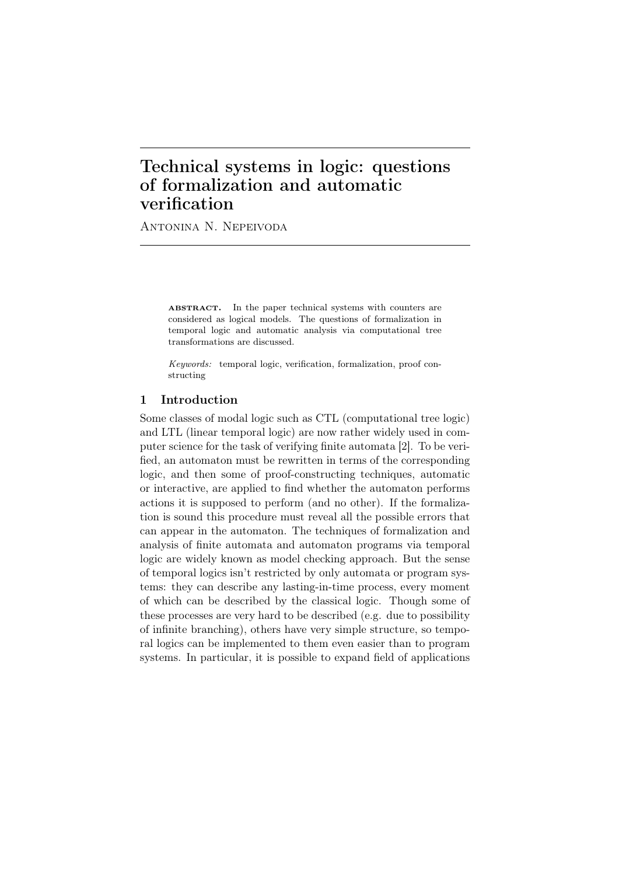# Technical systems in logic: questions of formalization and automatic verification

Antonina N. Nepeivoda

ABSTRACT. In the paper technical systems with counters are considered as logical models. The questions of formalization in temporal logic and automatic analysis via computational tree transformations are discussed.

*Keywords:* temporal logic, verification, formalization, proof constructing

## 1 Introduction

Some classes of modal logic such as CTL (computational tree logic) and LTL (linear temporal logic) are now rather widely used in computer science for the task of verifying finite automata [2]. To be verified, an automaton must be rewritten in terms of the corresponding logic, and then some of proof-constructing techniques, automatic or interactive, are applied to find whether the automaton performs actions it is supposed to perform (and no other). If the formalization is sound this procedure must reveal all the possible errors that can appear in the automaton. The techniques of formalization and analysis of finite automata and automaton programs via temporal logic are widely known as model checking approach. But the sense of temporal logics isn't restricted by only automata or program systems: they can describe any lasting-in-time process, every moment of which can be described by the classical logic. Though some of these processes are very hard to be described (e.g. due to possibility of infinite branching), others have very simple structure, so temporal logics can be implemented to them even easier than to program systems. In particular, it is possible to expand field of applications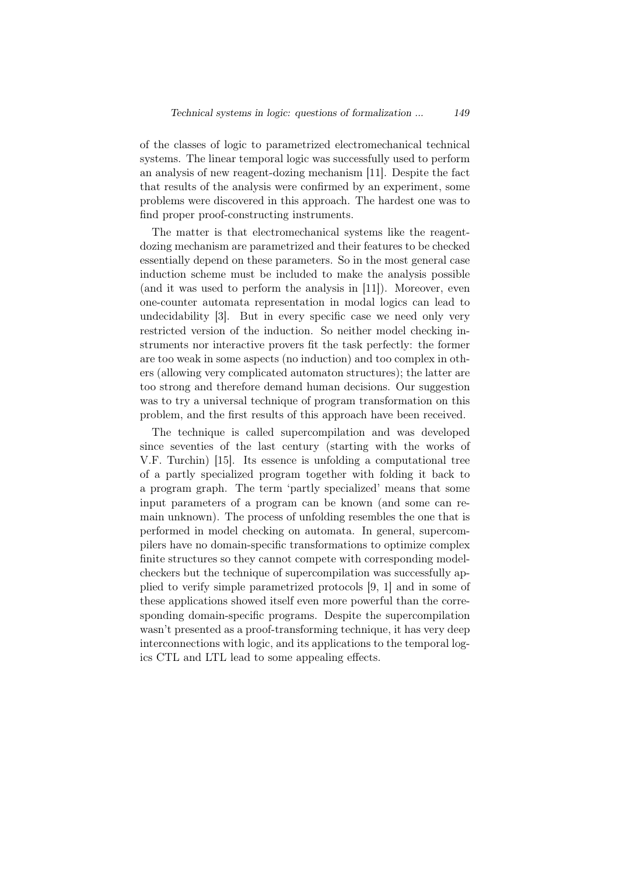of the classes of logic to parametrized electromechanical technical systems. The linear temporal logic was successfully used to perform an analysis of new reagent-dozing mechanism [11]. Despite the fact that results of the analysis were confirmed by an experiment, some problems were discovered in this approach. The hardest one was to find proper proof-constructing instruments.

The matter is that electromechanical systems like the reagentdozing mechanism are parametrized and their features to be checked essentially depend on these parameters. So in the most general case induction scheme must be included to make the analysis possible (and it was used to perform the analysis in [11]). Moreover, even one-counter automata representation in modal logics can lead to undecidability [3]. But in every specific case we need only very restricted version of the induction. So neither model checking instruments nor interactive provers fit the task perfectly: the former are too weak in some aspects (no induction) and too complex in others (allowing very complicated automaton structures); the latter are too strong and therefore demand human decisions. Our suggestion was to try a universal technique of program transformation on this problem, and the first results of this approach have been received.

The technique is called supercompilation and was developed since seventies of the last century (starting with the works of V.F. Turchin) [15]. Its essence is unfolding a computational tree of a partly specialized program together with folding it back to a program graph. The term 'partly specialized' means that some input parameters of a program can be known (and some can remain unknown). The process of unfolding resembles the one that is performed in model checking on automata. In general, supercompilers have no domain-specific transformations to optimize complex finite structures so they cannot compete with corresponding modelcheckers but the technique of supercompilation was successfully applied to verify simple parametrized protocols [9, 1] and in some of these applications showed itself even more powerful than the corresponding domain-specific programs. Despite the supercompilation wasn't presented as a proof-transforming technique, it has very deep interconnections with logic, and its applications to the temporal logics CTL and LTL lead to some appealing effects.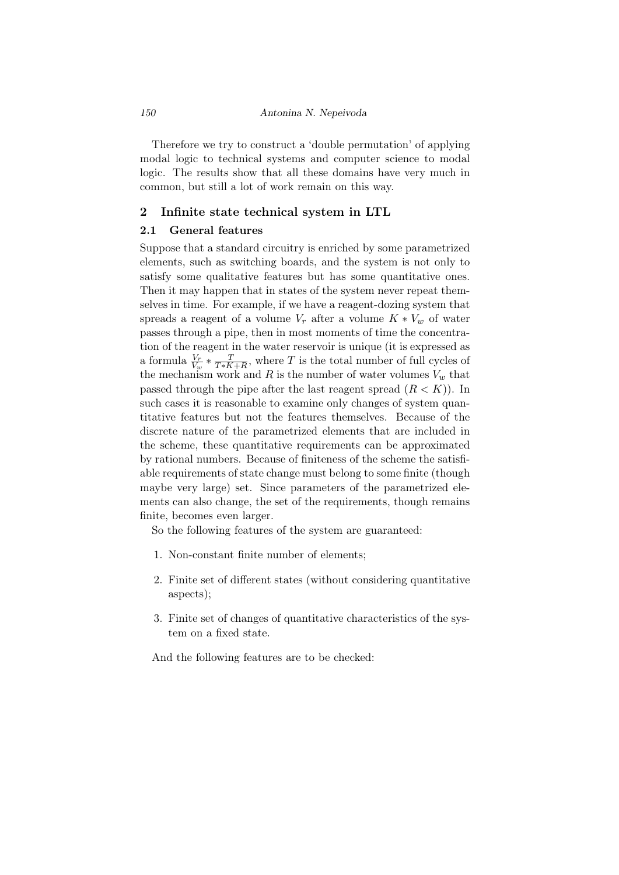Therefore we try to construct a 'double permutation' of applying modal logic to technical systems and computer science to modal logic. The results show that all these domains have very much in common, but still a lot of work remain on this way.

## 2 Infinite state technical system in LTL

## 2.1 General features

Suppose that a standard circuitry is enriched by some parametrized elements, such as switching boards, and the system is not only to satisfy some qualitative features but has some quantitative ones. Then it may happen that in states of the system never repeat themselves in time. For example, if we have a reagent-dozing system that spreads a reagent of a volume  $V_r$  after a volume  $K * V_w$  of water passes through a pipe, then in most moments of time the concentration of the reagent in the water reservoir is unique (it is expressed as a formula  $\frac{V_r}{V_w} * \frac{T}{T*K}$  $\frac{T}{T*K+R}$ , where *T* is the total number of full cycles of the mechanism work and  $R$  is the number of water volumes  $V_w$  that passed through the pipe after the last reagent spread  $(R < K)$ ). In such cases it is reasonable to examine only changes of system quantitative features but not the features themselves. Because of the discrete nature of the parametrized elements that are included in the scheme, these quantitative requirements can be approximated by rational numbers. Because of finiteness of the scheme the satisfiable requirements of state change must belong to some finite (though maybe very large) set. Since parameters of the parametrized elements can also change, the set of the requirements, though remains finite, becomes even larger.

So the following features of the system are guaranteed:

- 1. Non-constant finite number of elements;
- 2. Finite set of different states (without considering quantitative aspects);
- 3. Finite set of changes of quantitative characteristics of the system on a fixed state.

And the following features are to be checked: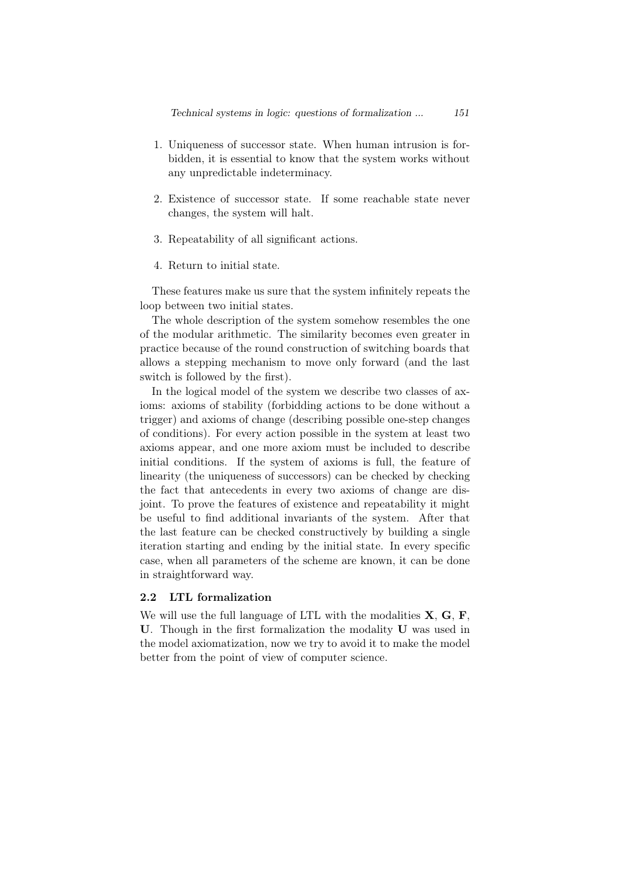- 1. Uniqueness of successor state. When human intrusion is forbidden, it is essential to know that the system works without any unpredictable indeterminacy.
- 2. Existence of successor state. If some reachable state never changes, the system will halt.
- 3. Repeatability of all significant actions.
- 4. Return to initial state.

These features make us sure that the system infinitely repeats the loop between two initial states.

The whole description of the system somehow resembles the one of the modular arithmetic. The similarity becomes even greater in practice because of the round construction of switching boards that allows a stepping mechanism to move only forward (and the last switch is followed by the first).

In the logical model of the system we describe two classes of axioms: axioms of stability (forbidding actions to be done without a trigger) and axioms of change (describing possible one-step changes of conditions). For every action possible in the system at least two axioms appear, and one more axiom must be included to describe initial conditions. If the system of axioms is full, the feature of linearity (the uniqueness of successors) can be checked by checking the fact that antecedents in every two axioms of change are disjoint. To prove the features of existence and repeatability it might be useful to find additional invariants of the system. After that the last feature can be checked constructively by building a single iteration starting and ending by the initial state. In every specific case, when all parameters of the scheme are known, it can be done in straightforward way.

## 2.2 LTL formalization

We will use the full language of LTL with the modalities **X**, **G**, **F**, **U**. Though in the first formalization the modality **U** was used in the model axiomatization, now we try to avoid it to make the model better from the point of view of computer science.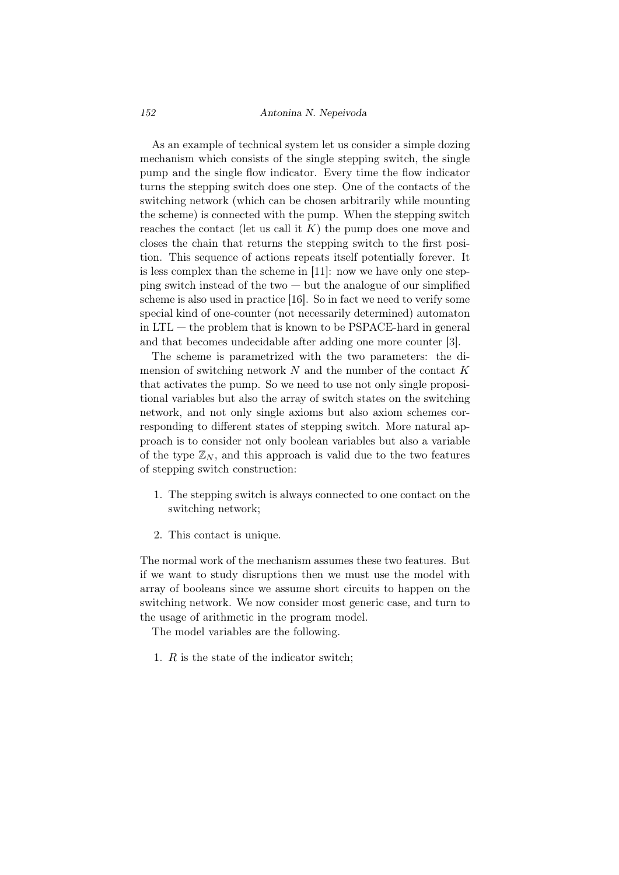#### *152 Antonina N. Nepeivoda*

As an example of technical system let us consider a simple dozing mechanism which consists of the single stepping switch, the single pump and the single flow indicator. Every time the flow indicator turns the stepping switch does one step. One of the contacts of the switching network (which can be chosen arbitrarily while mounting the scheme) is connected with the pump. When the stepping switch reaches the contact (let us call it *K*) the pump does one move and closes the chain that returns the stepping switch to the first position. This sequence of actions repeats itself potentially forever. It is less complex than the scheme in [11]: now we have only one stepping switch instead of the two  $-$  but the analogue of our simplified scheme is also used in practice [16]. So in fact we need to verify some special kind of one-counter (not necessarily determined) automaton in LTL — the problem that is known to be PSPACE-hard in general and that becomes undecidable after adding one more counter [3].

The scheme is parametrized with the two parameters: the dimension of switching network *N* and the number of the contact *K* that activates the pump. So we need to use not only single propositional variables but also the array of switch states on the switching network, and not only single axioms but also axiom schemes corresponding to different states of stepping switch. More natural approach is to consider not only boolean variables but also a variable of the type  $\mathbb{Z}_N$ , and this approach is valid due to the two features of stepping switch construction:

- 1. The stepping switch is always connected to one contact on the switching network;
- 2. This contact is unique.

The normal work of the mechanism assumes these two features. But if we want to study disruptions then we must use the model with array of booleans since we assume short circuits to happen on the switching network. We now consider most generic case, and turn to the usage of arithmetic in the program model.

The model variables are the following.

1. *R* is the state of the indicator switch;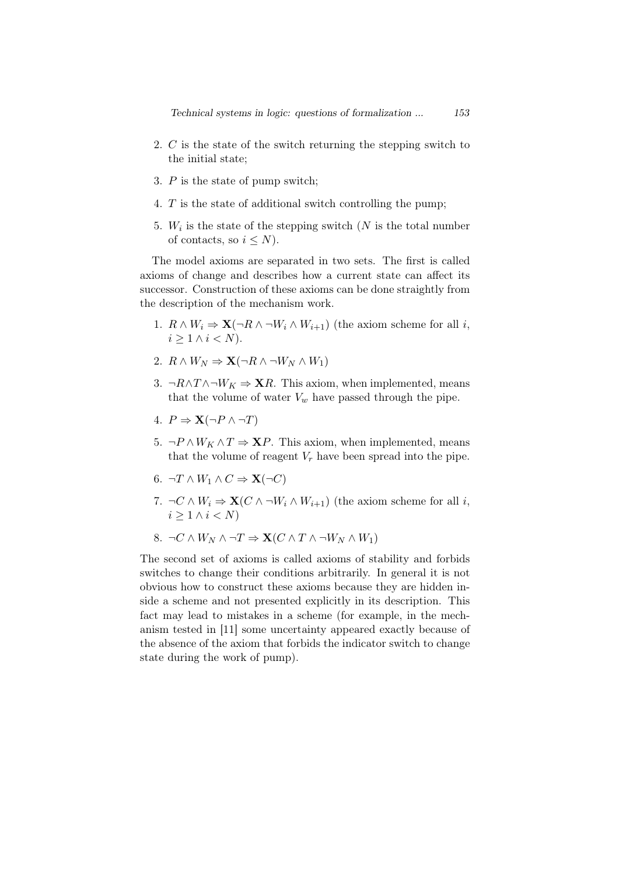- 2. *C* is the state of the switch returning the stepping switch to the initial state;
- 3. *P* is the state of pump switch;
- 4. *T* is the state of additional switch controlling the pump;
- 5.  $W_i$  is the state of the stepping switch ( $N$  is the total number of contacts, so  $i \leq N$ ).

The model axioms are separated in two sets. The first is called axioms of change and describes how a current state can affect its successor. Construction of these axioms can be done straightly from the description of the mechanism work.

- 1.  $R \wedge W_i \Rightarrow \mathbf{X}(\neg R \wedge \neg W_i \wedge W_{i+1})$  (the axiom scheme for all *i*,  $i \geq 1 \wedge i \leq N$ ).
- 2.  $R \wedge W_N \Rightarrow \mathbf{X}(\neg R \wedge \neg W_N \wedge W_1)$
- 3.  $\neg R \land T \land \neg W_K \Rightarrow \mathbf{X}R$ . This axiom, when implemented, means that the volume of water  $V_w$  have passed through the pipe.
- 4.  $P \Rightarrow \mathbf{X}(\neg P \land \neg T)$
- 5.  $\neg P \land W_K \land T \Rightarrow \mathbf{X}P$ . This axiom, when implemented, means that the volume of reagent  $V_r$  have been spread into the pipe.
- 6.  $\neg T \land W_1 \land C \Rightarrow \mathbf{X}(\neg C)$
- 7.  $\neg C \land W_i \Rightarrow \mathbf{X}(C \land \neg W_i \land W_{i+1})$  (the axiom scheme for all *i*,  $i \geq 1 \wedge i \leq N$
- 8.  $\neg C \land W_N \land \neg T \Rightarrow \mathbf{X} (C \land T \land \neg W_N \land W_1)$

The second set of axioms is called axioms of stability and forbids switches to change their conditions arbitrarily. In general it is not obvious how to construct these axioms because they are hidden inside a scheme and not presented explicitly in its description. This fact may lead to mistakes in a scheme (for example, in the mechanism tested in [11] some uncertainty appeared exactly because of the absence of the axiom that forbids the indicator switch to change state during the work of pump).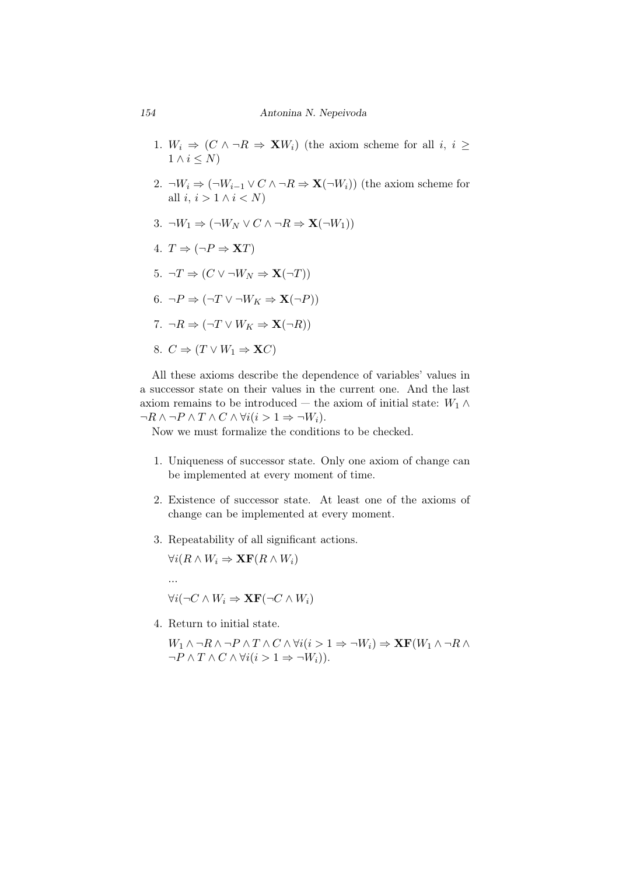- 1.  $W_i \Rightarrow (C \land \neg R \Rightarrow \mathbf{X}W_i)$  (the axiom scheme for all *i*, *i*  $\geq$  $1 \wedge i \leq N$
- 2.  $\neg W_i \Rightarrow (\neg W_{i-1} \vee C \wedge \neg R \Rightarrow \mathbf{X}(\neg W_i))$  (the axiom scheme for all *i*,  $i > 1 \land i < N$
- $3. \neg W_1 \Rightarrow (\neg W_N \vee C \wedge \neg R \Rightarrow \mathbf{X}(\neg W_1))$
- 4.  $T \Rightarrow (\neg P \Rightarrow \mathbf{X}T)$
- $5. \neg T \Rightarrow (C \vee \neg W_N \Rightarrow \mathbf{X}(\neg T))$
- $6. \neg P \Rightarrow (\neg T \lor \neg W_K \Rightarrow \mathbf{X}(\neg P))$
- $7. \neg R \Rightarrow (\neg T \lor W_K \Rightarrow \mathbf{X}(\neg R))$
- 8.  $C \Rightarrow (T \vee W_1 \Rightarrow \mathbf{X}C)$

All these axioms describe the dependence of variables' values in a successor state on their values in the current one. And the last axiom remains to be introduced — the axiom of initial state:  $W_1 \wedge$ *¬R ∧ ¬P ∧ T ∧ C ∧ ∀i*(*i >* 1 *⇒ ¬Wi*).

Now we must formalize the conditions to be checked.

- 1. Uniqueness of successor state. Only one axiom of change can be implemented at every moment of time.
- 2. Existence of successor state. At least one of the axioms of change can be implemented at every moment.
- 3. Repeatability of all significant actions.

 $\forall i (R \land W_i \Rightarrow \mathbf{XF}(R \land W_i)$ 

$$
\forall i (\neg C \land W_i \Rightarrow \mathbf{XF} (\neg C \land W_i)
$$

4. Return to initial state.

*...*

*W*<sub>1</sub> ∧ ¬*R* ∧ ¬*P* ∧ *T* ∧ *C* ∧  $\forall i$ ( $i > 1 \Rightarrow \neg W_i$ )  $\Rightarrow$  **XF**( $W_1 \land \neg R \land \neg W_2$  $\neg P \land T \land C \land \forall i (i > 1 \Rightarrow \neg W_i).$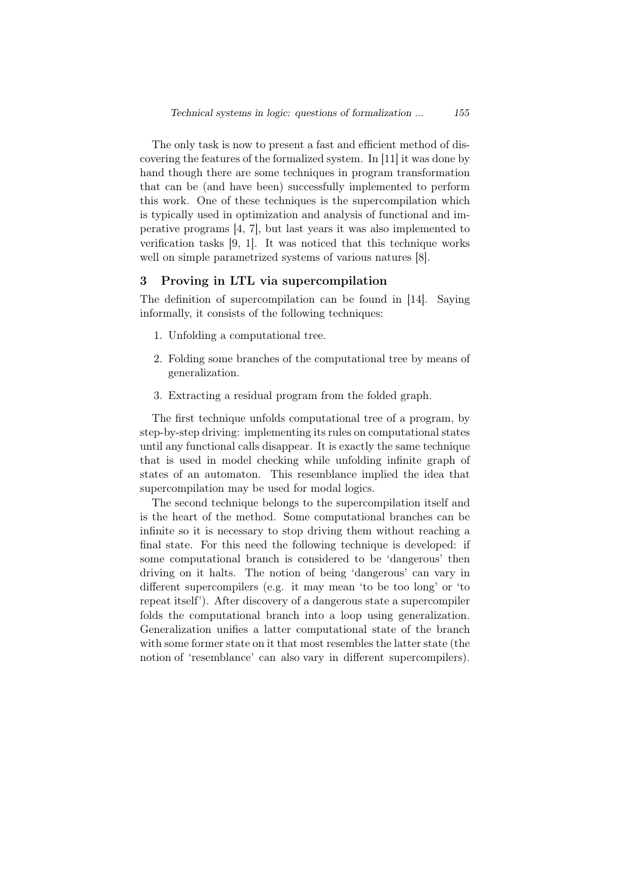The only task is now to present a fast and efficient method of discovering the features of the formalized system. In [11] it was done by hand though there are some techniques in program transformation that can be (and have been) successfully implemented to perform this work. One of these techniques is the supercompilation which is typically used in optimization and analysis of functional and imperative programs [4, 7], but last years it was also implemented to verification tasks [9, 1]. It was noticed that this technique works well on simple parametrized systems of various natures [8].

## 3 Proving in LTL via supercompilation

The definition of supercompilation can be found in [14]. Saying informally, it consists of the following techniques:

- 1. Unfolding a computational tree.
- 2. Folding some branches of the computational tree by means of generalization.
- 3. Extracting a residual program from the folded graph.

The first technique unfolds computational tree of a program, by step-by-step driving: implementing its rules on computational states until any functional calls disappear. It is exactly the same technique that is used in model checking while unfolding infinite graph of states of an automaton. This resemblance implied the idea that supercompilation may be used for modal logics.

The second technique belongs to the supercompilation itself and is the heart of the method. Some computational branches can be infinite so it is necessary to stop driving them without reaching a final state. For this need the following technique is developed: if some computational branch is considered to be 'dangerous' then driving on it halts. The notion of being 'dangerous' can vary in different supercompilers (e.g. it may mean 'to be too long' or 'to repeat itself'). After discovery of a dangerous state a supercompiler folds the computational branch into a loop using generalization. Generalization unifies a latter computational state of the branch with some former state on it that most resembles the latter state (the notion of 'resemblance' can also vary in different supercompilers).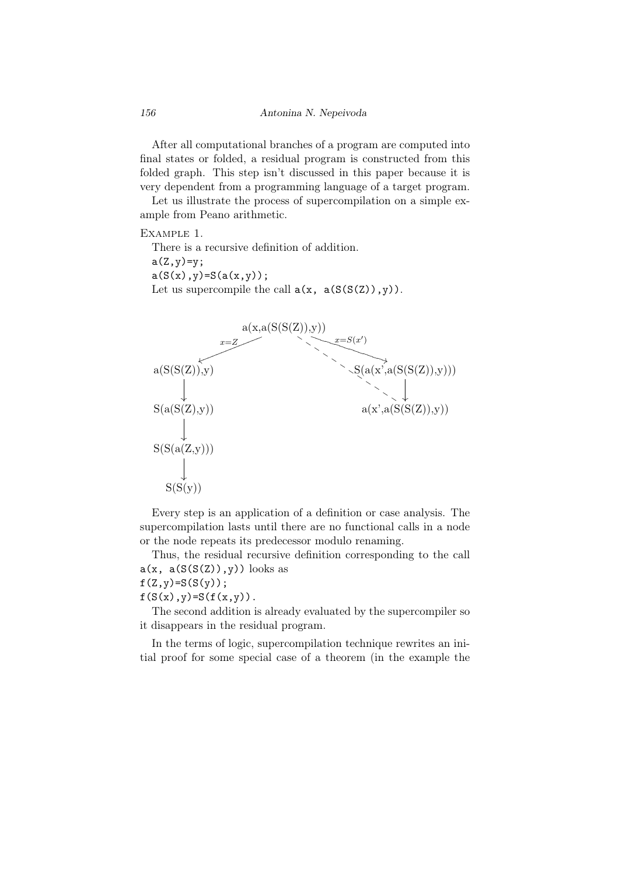After all computational branches of a program are computed into final states or folded, a residual program is constructed from this folded graph. This step isn't discussed in this paper because it is very dependent from a programming language of a target program.

Let us illustrate the process of supercompilation on a simple example from Peano arithmetic.

# Example 1.

There is a recursive definition of addition.  $a(Z, y) = y;$  $a(S(x), y) = S(a(x, y));$ Let us supercompile the call  $a(x, a(S(S(Z)), y))$ .



Every step is an application of a definition or case analysis. The supercompilation lasts until there are no functional calls in a node or the node repeats its predecessor modulo renaming.

Thus, the residual recursive definition corresponding to the call  $a(x, a(S(S(Z)), y))$  looks as

# $f(Z,y)=S(S(y));$

 $f(S(x), y) = S(f(x, y))$ .

The second addition is already evaluated by the supercompiler so it disappears in the residual program.

In the terms of logic, supercompilation technique rewrites an initial proof for some special case of a theorem (in the example the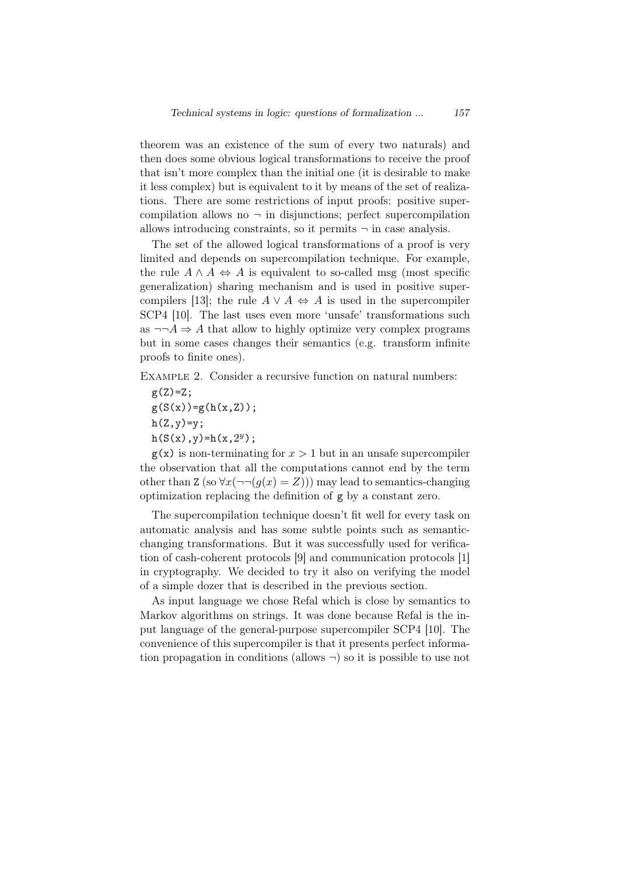theorem was an existence of the sum of every two naturals) and then does some obvious logical transformations to receive the proof that isn't more complex than the initial one (it is desirable to make it less complex) but is equivalent to it by means of the set of realizations. There are some restrictions of input proofs: positive supercompilation allows no  $\neg$  in disjunctions; perfect supercompilation allows introducing constraints, so it permits *¬* in case analysis.

The set of the allowed logical transformations of a proof is very limited and depends on supercompilation technique. For example, the rule  $A \wedge A \Leftrightarrow A$  is equivalent to so-called msg (most specific generalization) sharing mechanism and is used in positive supercompilers [13]; the rule  $A \lor A \Leftrightarrow A$  is used in the supercompiler SCP4 [10]. The last uses even more 'unsafe' transformations such as  $\neg\neg A \Rightarrow A$  that allow to highly optimize very complex programs but in some cases changes their semantics (e.g. transform infinite proofs to finite ones).

Example 2. Consider a recursive function on natural numbers:

 $g(Z)=Z;$  $g(S(x))=g(h(x,Z));$  $h(Z,y)=y;$  $h(S(x), y) = h(x, 2^y);$ 

 $g(x)$  is non-terminating for  $x > 1$  but in an unsafe supercompiler the observation that all the computations cannot end by the term other than  $Z(\text{so } \forall x (\neg\neg (q(x) = Z)))$  may lead to semantics-changing optimization replacing the definition of g by a constant zero.

The supercompilation technique doesn't fit well for every task on automatic analysis and has some subtle points such as semanticchanging transformations. But it was successfully used for verification of cash-coherent protocols [9] and communication protocols [1] in cryptography. We decided to try it also on verifying the model of a simple dozer that is described in the previous section.

As input language we chose Refal which is close by semantics to Markov algorithms on strings. It was done because Refal is the input language of the general-purpose supercompiler SCP4 [10]. The convenience of this supercompiler is that it presents perfect information propagation in conditions (allows *¬*) so it is possible to use not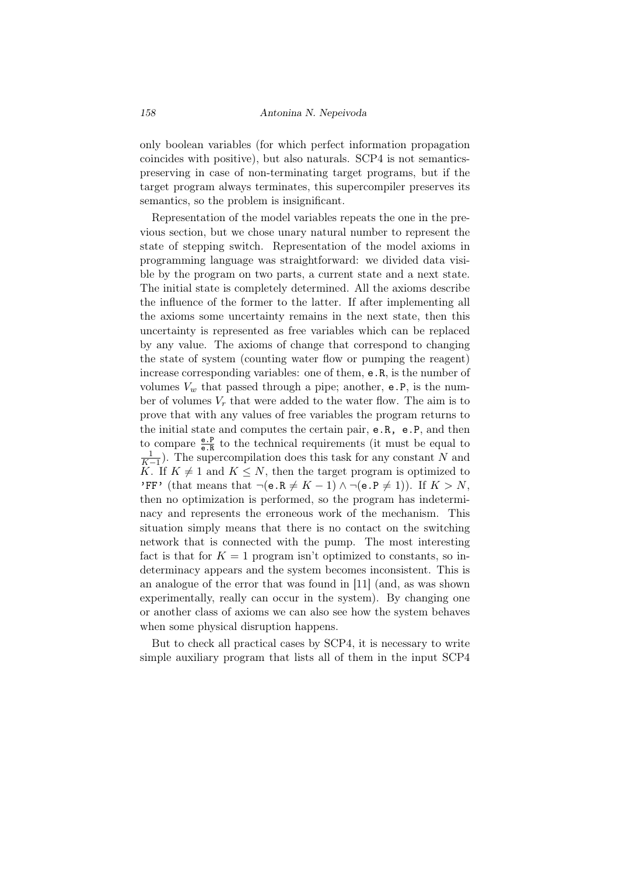only boolean variables (for which perfect information propagation coincides with positive), but also naturals. SCP4 is not semanticspreserving in case of non-terminating target programs, but if the target program always terminates, this supercompiler preserves its semantics, so the problem is insignificant.

Representation of the model variables repeats the one in the previous section, but we chose unary natural number to represent the state of stepping switch. Representation of the model axioms in programming language was straightforward: we divided data visible by the program on two parts, a current state and a next state. The initial state is completely determined. All the axioms describe the influence of the former to the latter. If after implementing all the axioms some uncertainty remains in the next state, then this uncertainty is represented as free variables which can be replaced by any value. The axioms of change that correspond to changing the state of system (counting water flow or pumping the reagent) increase corresponding variables: one of them, e.R, is the number of volumes  $V_w$  that passed through a pipe; another, e.P, is the number of volumes  $V_r$  that were added to the water flow. The aim is to prove that with any values of free variables the program returns to the initial state and computes the certain pair, e.R, e.P, and then to compare  $\frac{e}{e \cdot R}$  to the technical requirements (it must be equal to 1  $\frac{1}{K-1}$ ). The supercompilation does this task for any constant *N* and *K*. If  $K \neq 1$  and  $K \leq N$ , then the target program is optimized to 'FF' (that means that  $\neg$ (e.R  $\neq K-1$ )  $\land \neg$ (e.P  $\neq 1$ )). If  $K > N$ , then no optimization is performed, so the program has indeterminacy and represents the erroneous work of the mechanism. This situation simply means that there is no contact on the switching network that is connected with the pump. The most interesting fact is that for  $K = 1$  program isn't optimized to constants, so indeterminacy appears and the system becomes inconsistent. This is an analogue of the error that was found in [11] (and, as was shown experimentally, really can occur in the system). By changing one or another class of axioms we can also see how the system behaves when some physical disruption happens.

But to check all practical cases by SCP4, it is necessary to write simple auxiliary program that lists all of them in the input SCP4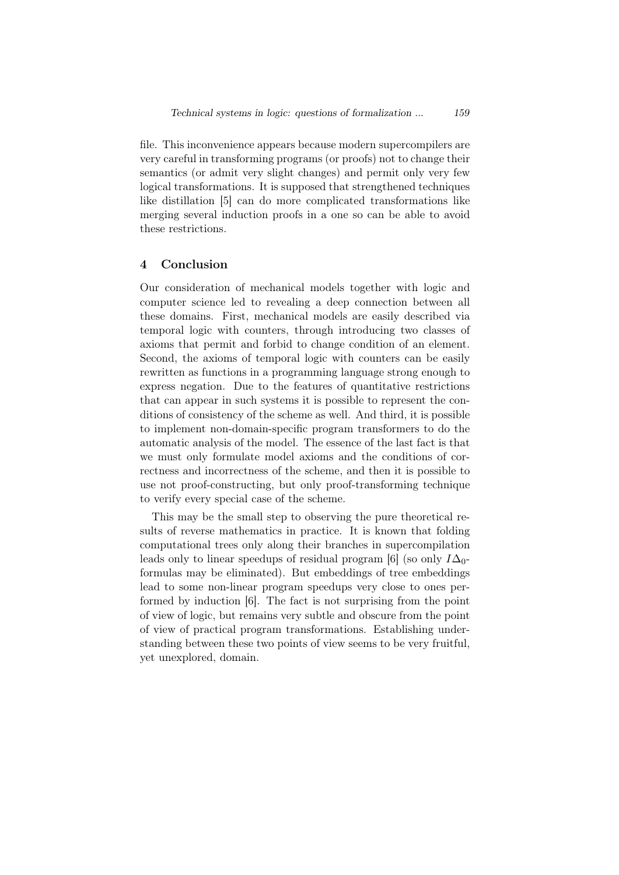file. This inconvenience appears because modern supercompilers are very careful in transforming programs (or proofs) not to change their semantics (or admit very slight changes) and permit only very few logical transformations. It is supposed that strengthened techniques like distillation [5] can do more complicated transformations like merging several induction proofs in a one so can be able to avoid these restrictions.

## 4 Conclusion

Our consideration of mechanical models together with logic and computer science led to revealing a deep connection between all these domains. First, mechanical models are easily described via temporal logic with counters, through introducing two classes of axioms that permit and forbid to change condition of an element. Second, the axioms of temporal logic with counters can be easily rewritten as functions in a programming language strong enough to express negation. Due to the features of quantitative restrictions that can appear in such systems it is possible to represent the conditions of consistency of the scheme as well. And third, it is possible to implement non-domain-specific program transformers to do the automatic analysis of the model. The essence of the last fact is that we must only formulate model axioms and the conditions of correctness and incorrectness of the scheme, and then it is possible to use not proof-constructing, but only proof-transforming technique to verify every special case of the scheme.

This may be the small step to observing the pure theoretical results of reverse mathematics in practice. It is known that folding computational trees only along their branches in supercompilation leads only to linear speedups of residual program [6] (so only  $I\Delta_0$ formulas may be eliminated). But embeddings of tree embeddings lead to some non-linear program speedups very close to ones performed by induction [6]. The fact is not surprising from the point of view of logic, but remains very subtle and obscure from the point of view of practical program transformations. Establishing understanding between these two points of view seems to be very fruitful, yet unexplored, domain.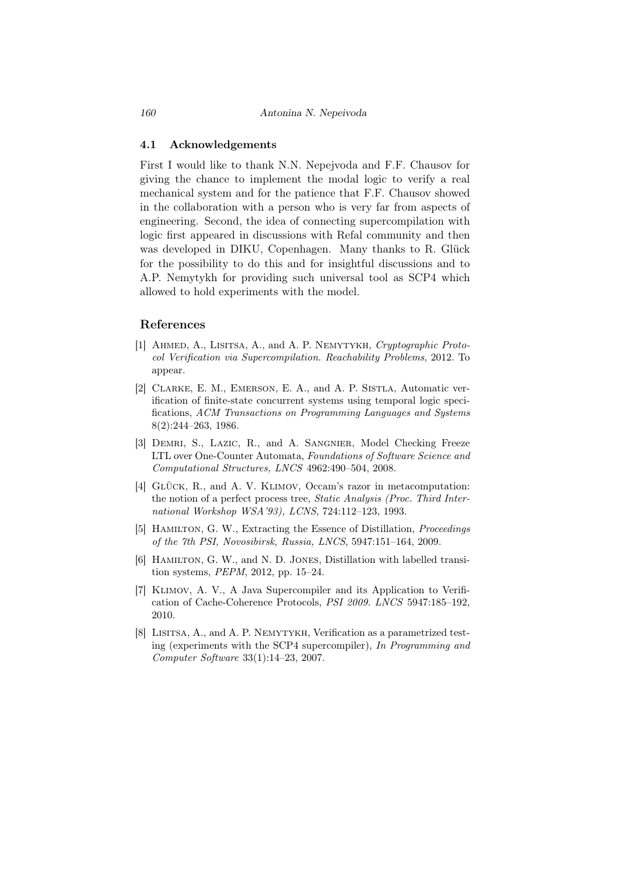#### 4.1 Acknowledgements

First I would like to thank N.N. Nepejvoda and F.F. Chausov for giving the chance to implement the modal logic to verify a real mechanical system and for the patience that F.F. Chausov showed in the collaboration with a person who is very far from aspects of engineering. Second, the idea of connecting supercompilation with logic first appeared in discussions with Refal community and then was developed in DIKU, Copenhagen. Many thanks to R. Glück for the possibility to do this and for insightful discussions and to A.P. Nemytykh for providing such universal tool as SCP4 which allowed to hold experiments with the model.

## References

- [1] Ahmed, A., Lisitsa, A., and A. P. Nemytykh, *Cryptographic Protocol Verification via Supercompilation. Reachability Problems*, 2012. To appear.
- [2] CLARKE, E. M., EMERSON, E. A., and A. P. SISTLA, Automatic verification of finite-state concurrent systems using temporal logic specifications, *ACM Transactions on Programming Languages and Systems* 8(2):244–263, 1986.
- [3] Demri, S., Lazic, R., and A. Sangnier, Model Checking Freeze LTL over One-Counter Automata, *Foundations of Software Science and Computational Structures, LNCS* 4962:490–504, 2008.
- [4] GLÜCK, R., and A. V. KLIMOV, Occam's razor in metacomputation: the notion of a perfect process tree, *Static Analysis (Proc. Third International Workshop WSA'93), LCNS*, 724:112–123, 1993.
- [5] Hamilton, G. W., Extracting the Essence of Distillation, *Proceedings of the 7th PSI, Novosibirsk, Russia, LNCS*, 5947:151–164, 2009.
- [6] HAMILTON, G. W., and N. D. JONES, Distillation with labelled transition systems, *PEPM*, 2012, pp. 15–24.
- [7] Klimov, A. V., A Java Supercompiler and its Application to Verification of Cache-Coherence Protocols, *PSI 2009. LNCS* 5947:185–192, 2010.
- [8] LISITSA, A., and A. P. NEMYTYKH, Verification as a parametrized testing (experiments with the SCP4 supercompiler), *In Programming and Computer Software* 33(1):14–23, 2007.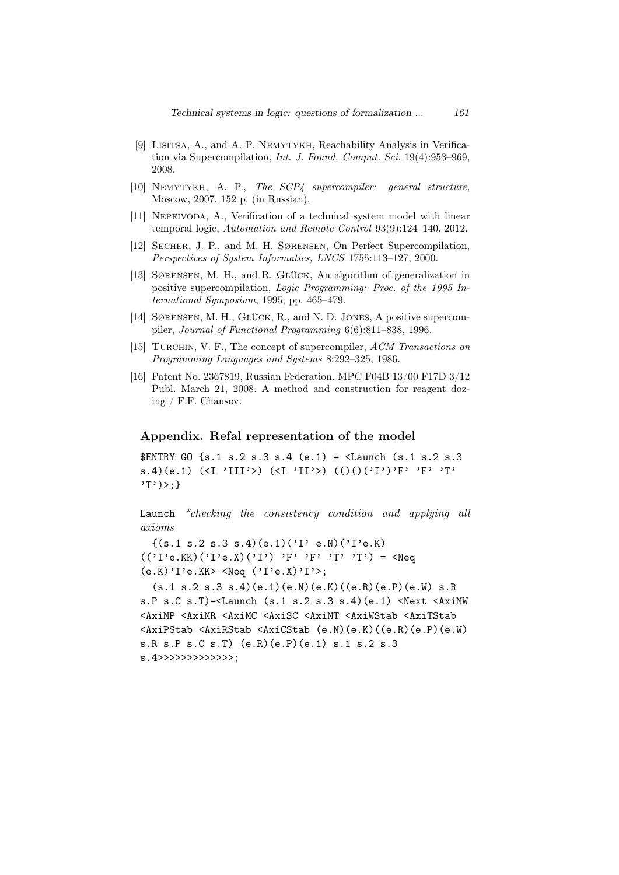- [9] Lisitsa, A., and A. P. Nemytykh, Reachability Analysis in Verification via Supercompilation, *Int. J. Found. Comput. Sci.* 19(4):953–969, 2008.
- [10] Nemytykh, A. P., *The SCP4 supercompiler: general structure*, Moscow, 2007. 152 p. (in Russian).
- [11] NEPEIVODA, A., Verification of a technical system model with linear temporal logic, *Automation and Remote Control* 93(9):124–140, 2012.
- [12] Secher, J. P., and M. H. Sørensen, On Perfect Supercompilation, *Perspectives of System Informatics, LNCS* 1755:113–127, 2000.
- [13] SØRENSEN, M. H., and R. GLÜCK, An algorithm of generalization in positive supercompilation, *Logic Programming: Proc. of the 1995 International Symposium*, 1995, pp. 465–479.
- [14] SØRENSEN, M. H., GLÜCK, R., and N. D. JONES, A positive supercompiler, *Journal of Functional Programming* 6(6):811–838, 1996.
- [15] Turchin, V. F., The concept of supercompiler, *ACM Transactions on Programming Languages and Systems* 8:292–325, 1986.
- [16] Patent No. 2367819, Russian Federation. MPC F04B 13/00 F17D 3/12 Publ. March 21, 2008. A method and construction for reagent dozing / F.F. Chausov.

#### Appendix. Refal representation of the model

\$ENTRY GO  $\{s.1 \ s.2 \ s.3 \ s.4 \ (e.1) = \text{K}$  =  $\{s.1 \ s.2 \ s.3 \}$ s.4)(e.1) (<I 'III'>) (<I 'II'>) (()()('I')'F' 'F' 'T' 'T')>;}

Launch *\*checking the consistency condition and applying all axioms*

 ${(s.1 s.2 s.3 s.4)(e.1)('I' e.N)('I'e.K)}$  $(('I'e.KK)('I'e.X)('I')'F' 'F' 'T' 'T') = \text{N}eq$  $(e.K)'I'e.KK>;$ 

 $(s.1 s.2 s.3 s.4)(e.1)(e.N)(e.K)((e.R)(e.P)(e.W)s.R$ s.P s.C s.T $)=$ <Launch (s.1 s.2 s.3 s.4)(e.1) <Next <AxiMW <AxiMP <AxiMR <AxiMC <AxiSC <AxiMT <AxiWStab <AxiTStab <AxiPStab <AxiRStab <AxiCStab (e.N)(e.K)((e.R)(e.P)(e.W) s.R s.P s.C s.T) (e.R)(e.P)(e.1) s.1 s.2 s.3 s.4>>>>>>>>>>>>>;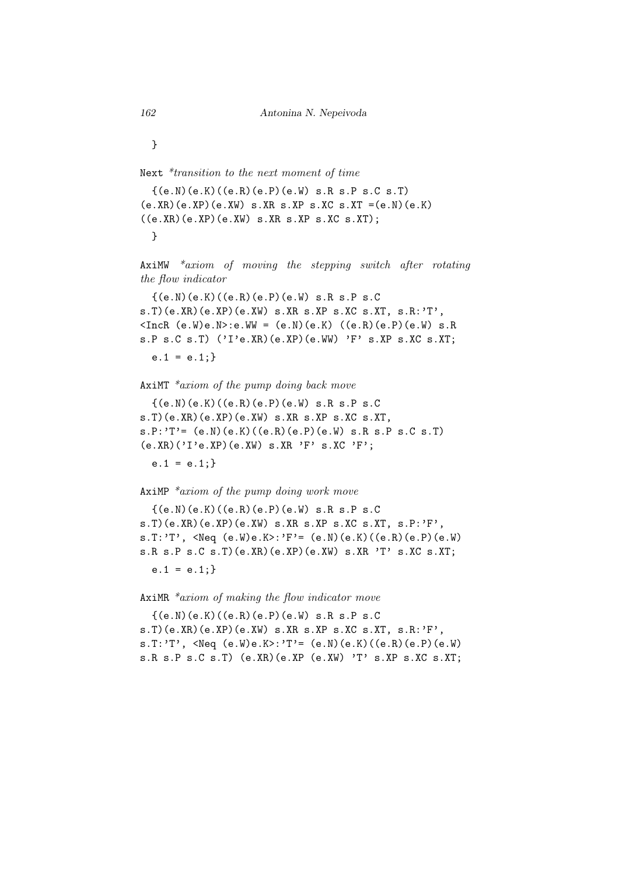}

Next *\*transition to the next moment of time*

 $\{(e,N)(e.K)((e.R)(e.P)(e.W) s.R s.P s.C s.T)\}$  $(e.KR)(e.KP)(e.XW)$  s.XR s.XP s.XC s.XT = $(e.N)(e.K)$  $((e.XR)(e.XP)(e.XW) s.XR s.XP s.XC s.XT);$ }

AxiMW *\*axiom of moving the stepping switch after rotating the flow indicator*

{(e.N)(e.K)((e.R)(e.P)(e.W) s.R s.P s.C s.T)(e.XR)(e.XP)(e.XW) s.XR s.XP s.XC s.XT, s.R:'T',  $\text{CIncR}$  (e.W)e.N>:e.WW = (e.N)(e.K) ((e.R)(e.P)(e.W) s.R s.P s.C s.T) ('I'e.XR)(e.XP)(e.WW) 'F' s.XP s.XC s.XT;  $e.1 = e.1;}$ 

AxiMT *\*axiom of the pump doing back move*

{(e.N)(e.K)((e.R)(e.P)(e.W) s.R s.P s.C s.T)(e.XR)(e.XP)(e.XW) s.XR s.XP s.XC s.XT,  $s.P: 'T' = (e.N)(e.K)((e.R)(e.P)(e.W) s.R s.P s.C s.T)$  $(e.XR)$  $(YI'e.XP)$  $(e.XW)$  s.XR  $'F'$  s.XC  $'F'$ ;

 $e.1 = e.1$ ;

AxiMP *\*axiom of the pump doing work move*

 ${(e.N)(e.K)((e.R)(e.P)(e.W) s.R s.P s.C)}$ s.T)(e.XR)(e.XP)(e.XW) s.XR s.XP s.XC s.XT, s.P:'F', s.T:'T', <Neq (e.W)e.K>:'F'= (e.N)(e.K)((e.R)(e.P)(e.W) s.R s.P s.C s.T)(e.XR)(e.XP)(e.XW) s.XR 'T' s.XC s.XT;  $e.1 = e.1$ ;

AxiMR *\*axiom of making the flow indicator move*

 $\{(e,N)(e,K)((e,R)(e,P)(e,W)$  s.R s.P s.C s.T)(e.XR)(e.XP)(e.XW) s.XR s.XP s.XC s.XT, s.R:'F', s.T:'T',  $\langle$ Neq  $(e.W)e.K\rangle$ :'T'=  $(e.N)(e.K)(e.R)(e.P)(e.W)$ s.R s.P s.C s.T) (e.XR)(e.XP (e.XW) 'T' s.XP s.XC s.XT;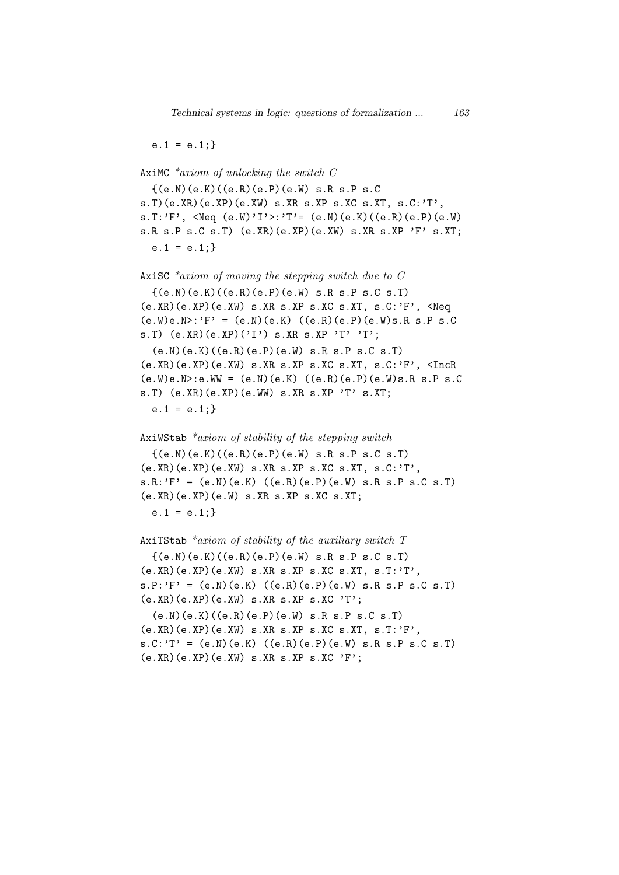$e.1 = e.1;}$ 

AxiMC *\*axiom of unlocking the switch C*  $\{(e,N)(e,K)((e,R)(e,P)(e,W)$  s.R s.P s.C  $s.T$ )(e.XR)(e.XP)(e.XW)  $s.KR$  s.XP  $s.KC$  s.XT,  $s.C.:T'$ , s.T:'F', <Neq  $(e.W)'I'$ 'T'=  $(e.N)(e.K)((e.R)(e.P)(e.W)$ s.R s.P s.C s.T) (e.XR)(e.XP)(e.XW) s.XR s.XP 'F' s.XT;  $e.1 = e.1$ ; AxiSC *\*axiom of moving the stepping switch due to C* {(e.N)(e.K)((e.R)(e.P)(e.W) s.R s.P s.C s.T) (e.XR)(e.XP)(e.XW) s.XR s.XP s.XC s.XT, s.C:'F', <Neq

 $(e.W)e.N>:'F' = (e.N)(e.K) ((e.R)(e.P)(e.W)s.R s.P s.C)$ s.T)  $(e.XR)(e.XP)('I')$  s.XR s.XP 'T' 'T';

(e.N)(e.K)((e.R)(e.P)(e.W) s.R s.P s.C s.T)  $(e.KR)(e.KP)(e.XW) s.KR s.KP s.KC s.KT, s.C:'F',  $\text{IncR}$$  $(e.W)e.N > :e.W = (e.N)(e.K) ((e.R)(e.P)(e.W)s.R s.P s.C)$ s.T)  $(e.XR)(e.XP)(e.WW)$  s.XR s.XP 'T' s.XT;  $e.1 = e.1$ ;

AxiWStab *\*axiom of stability of the stepping switch*  ${(e.N)(e.K)((e.R)(e.P)(e.W) s.R s.P s.C s.T)}$ 

(e.XR)(e.XP)(e.XW) s.XR s.XP s.XC s.XT, s.C:'T',  $s.R: 'F' = (e.N)(e.K) ((e.R)(e.P)(e.W) s.R s.P s.C s.T)$ (e.XR)(e.XP)(e.W) s.XR s.XP s.XC s.XT;

 $e.1 = e.1;}$ 

AxiTStab *\*axiom of stability of the auxiliary switch T*  $\{(e,N)(e,K)((e,R)(e,P)(e,W)$  s.R s.P s.C s.T)  $(e.XR)(e.XP)(e.XW)$  s.XR s.XP s.XC s.XT, s.T:'T',  $s.P: 'F' = (e.N)(e.K) ((e.R)(e.P)(e.W) s.R s.P s.C s.T)$  $(e.XR)(e.XP)(e.XW)$  s.XR s.XP s.XC 'T';

 $(e, N)(e, K)((e, R)(e, P)(e, W)$  s.R s.P s.C s.T) (e.XR)(e.XP)(e.XW) s.XR s.XP s.XC s.XT, s.T:'F',  $s.C.:T' = (e.N)(e.K) ((e.R)(e.P)(e.W) s.R s.P s.C s.T)$  $(e.XR)(e.XP)(e.XW) s.XR s.XP s.XC 'F';$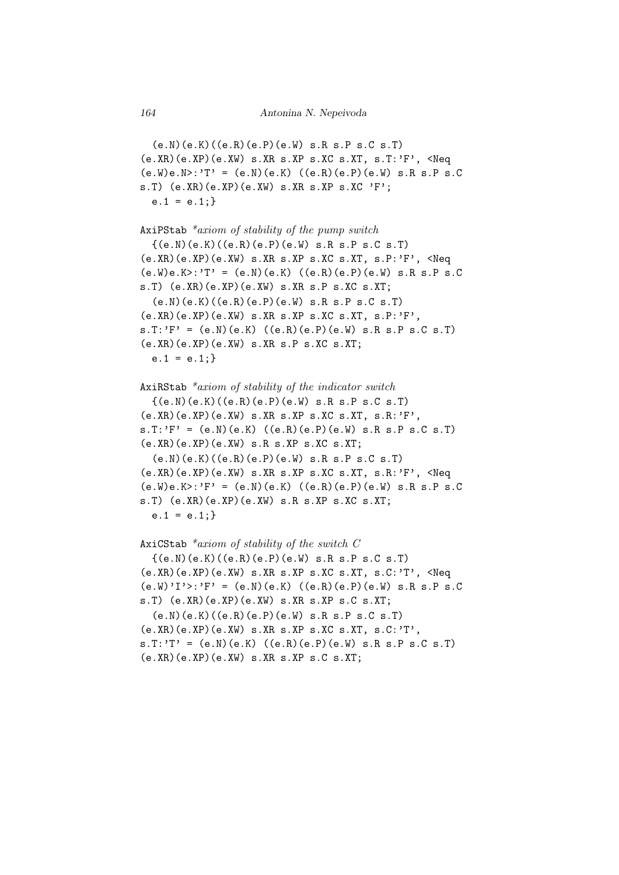$(e.N)(e.K)((e.R)(e.P)(e.W)$  s.R s.P s.C s.T)  $(e.KR)(e.XP)(e.XW) s.KR s.XP s.XC s.XT, s.T.'F', \leq Neq$  $(e.W)e.N>:'T' = (e.N)(e.K) ((e.R)(e.P)(e.W) s.R s.P s.C)$ s.T)  $(e.XR)(e.XP)(e.XW)$  s.XR s.XP s.XC 'F';  $e.1 = e.1$ :

AxiPStab *\*axiom of stability of the pump switch*  ${(e.N)(e.K)((e.R)(e.P)(e.W) s.R s.P s.C s.T)}$  $(e.KR)(e.KP)(e.XW)$  s.XR s.XP s.XC s.XT, s.P:'F', <Neq  $(e.W)e.K>: 'T' = (e.N)(e.K) ((e.R)(e.P)(e.W) s.R s.P s.C)$ s.T) (e.XR)(e.XP)(e.XW) s.XR s.P s.XC s.XT;  $(e.N)(e.K)((e.R)(e.P)(e.W)$  s.R s.P s.C s.T) (e.XR)(e.XP)(e.XW) s.XR s.XP s.XC s.XT, s.P:'F',  $s.T.'F' = (e.N)(e.K) ((e.R)(e.P)(e.W) s.R s.P s.C s.T)$ (e.XR)(e.XP)(e.XW) s.XR s.P s.XC s.XT;  $e.1 = e.1$ ;

AxiRStab *\*axiom of stability of the indicator switch* {(e.N)(e.K)((e.R)(e.P)(e.W) s.R s.P s.C s.T)  $(e.XR)(e.XP)(e.XW)$  s.XR s.XP s.XC s.XT, s.R:'F',  $s.T: 'F' = (e.N)(e.K) ((e.R)(e.P)(e.W) s.R s.P s.C s.T)$ (e.XR)(e.XP)(e.XW) s.R s.XP s.XC s.XT;

(e.N)(e.K)((e.R)(e.P)(e.W) s.R s.P s.C s.T)  $(e.XR)(e.XP)(e.XW) s.XR s.XP s.XC s.XT, s.R.'F', **Neg**$  $(e.W)e.K>: 'F' = (e.N)(e.K) ((e.R)(e.P)(e.W) s.R s.P s.C)$ s.T) (e.XR)(e.XP)(e.XW) s.R s.XP s.XC s.XT;  $e.1 = e.1;}$ 

AxiCStab *\*axiom of stability of the switch C*  ${(e.N)(e.K)((e.R)(e.P)(e.W) s.R s.P s.C s.T)}$ (e.XR)(e.XP)(e.XW) s.XR s.XP s.XC s.XT, s.C:'T', <Neq  $(e.W)'I'$ :'F' =  $(e.N)(e.K)'$  ((e.R)(e.P)(e.W) s.R s.P s.C s.T) (e.XR)(e.XP)(e.XW) s.XR s.XP s.C s.XT;  $(e, N)(e, K)((e, R)(e, P)(e, W)$  s.R s.P s.C s.T) (e.XR)(e.XP)(e.XW) s.XR s.XP s.XC s.XT, s.C:'T',  $s.T.'T' = (e.N)(e.K) ((e.R)(e.P)(e.W) s.R s.P s.C s.T)$ (e.XR)(e.XP)(e.XW) s.XR s.XP s.C s.XT;